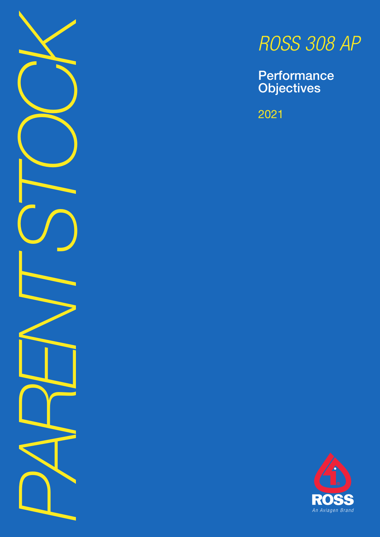

# *ROSS 308 AP*

**Performance Objectives** 

2021

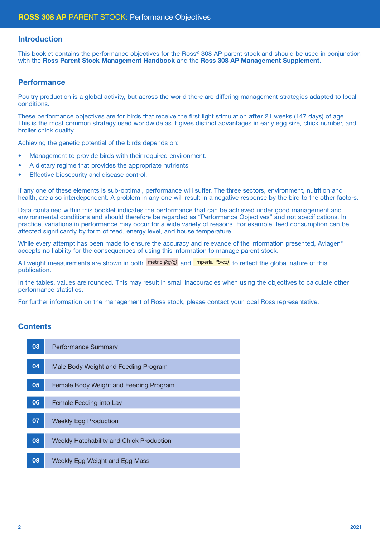# Introduction

This booklet contains the performance objectives for the Ross® 308 AP parent stock and should be used in conjunction with the Ross Parent Stock Management Handbook and the Ross 308 AP Management Supplement.

## **Performance**

Poultry production is a global activity, but across the world there are differing management strategies adapted to local conditions.

These performance objectives are for birds that receive the first light stimulation **after** 21 weeks (147 days) of age. This is the most common strategy used worldwide as it gives distinct advantages in early egg size, chick number, and broiler chick quality.

Achieving the genetic potential of the birds depends on:

- Management to provide birds with their required environment.
- A dietary regime that provides the appropriate nutrients.
- Effective biosecurity and disease control.

If any one of these elements is sub-optimal, performance will suffer. The three sectors, environment, nutrition and health, are also interdependent. A problem in any one will result in a negative response by the bird to the other factors.

Data contained within this booklet indicates the performance that can be achieved under good management and environmental conditions and should therefore be regarded as "Performance Objectives" and not specifications. In practice, variations in performance may occur for a wide variety of reasons. For example, feed consumption can be affected significantly by form of feed, energy level, and house temperature.

While every attempt has been made to ensure the accuracy and relevance of the information presented, Aviagen<sup>®</sup> accepts no liability for the consequences of using this information to manage parent stock.

All weight measurements are shown in both metric (kg/g) and imperial (b/oz) to reflect the global nature of this publication.

In the tables, values are rounded. This may result in small inaccuracies when using the objectives to calculate other performance statistics.

For further information on the management of Ross stock, please contact your local Ross representative.

# **Contents**

| 03 | <b>Performance Summary</b>               |
|----|------------------------------------------|
| 04 | Male Body Weight and Feeding Program     |
| 05 | Female Body Weight and Feeding Program   |
| 06 | Female Feeding into Lay                  |
| 07 | <b>Weekly Egg Production</b>             |
| 08 | Weekly Hatchability and Chick Production |
| 09 | Weekly Egg Weight and Egg Mass           |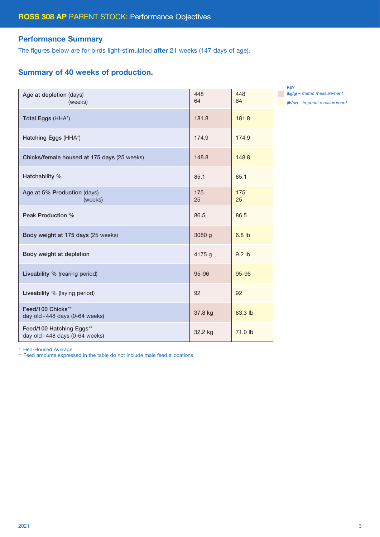# Performance Summary

The figures below are for birds light-stimulated after 21 weeks (147 days of age).

# Summary of 40 weeks of production.

| Age at depletion (days)<br>(weeks)                         | 448<br>64 | 448<br>64 |
|------------------------------------------------------------|-----------|-----------|
| Total Eggs (HHA*)                                          | 181.8     | 181.8     |
| Hatching Eggs (HHA*)                                       | 174.9     | 174.9     |
| Chicks/female housed at 175 days (25 weeks)                | 148.8     | 148.8     |
| Hatchability %                                             | 85.1      | 85.1      |
| Age at 5% Production (days)<br>(weeks)                     | 175<br>25 | 175<br>25 |
| Peak Production %                                          | 86.5      | 86.5      |
| Body weight at 175 days (25 weeks)                         | 3080 g    | $6.8$ lb  |
| Body weight at depletion                                   | 4175 g    | $9.2$ lb  |
| Liveability % (rearing period)                             | 95-96     | 95-96     |
| Liveability % (laying period)                              | 92        | 92        |
| Feed/100 Chicks**<br>day old -448 days (0-64 weeks)        | 37.8 kg   | 83.3 lb   |
| Feed/100 Hatching Eggs**<br>day old -448 days (0-64 weeks) | 32.2 kg   | 71.0 lb   |

KEY (kg/g) *– metric measurement* (lb/oz) *– imperial measurement*

\* Hen-Housed Average.

\*\* Feed amounts expressed in the table do not include male feed allocations.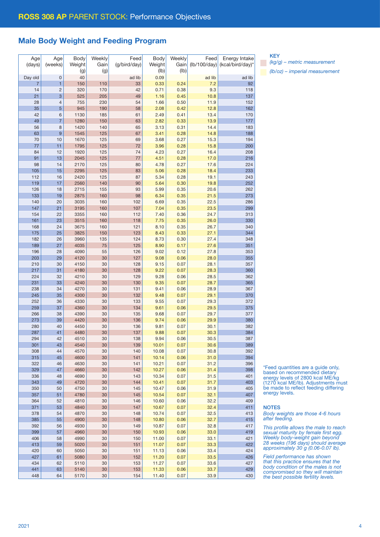# Male Body Weight and Feeding Program

| Age            | Age            | Body   | Weekly | Feed         | Body   | Weekly | Feed                            | Energy Intake    |
|----------------|----------------|--------|--------|--------------|--------|--------|---------------------------------|------------------|
| (days)         | (weeks)        | Weight | Gain   | (g/bird/day) | Weight | Gain   | $(\frac{1}{100}/\frac{day}{x})$ | (kcal/bird/day)* |
|                |                | (g)    | (g)    |              | (lb)   | (Ib)   |                                 |                  |
| Day old        | $\mathbf 0$    | 40     |        | ad lib       | 0.09   |        | ad lib                          | ad lib           |
| $\overline{7}$ | 1              | 150    | 110    | 33           | 0.33   | 0.24   | 7.2                             | 92               |
| 14             | $\overline{c}$ | 320    | 170    | 42           | 0.71   | 0.38   | 9.3                             | 118              |
| 21             | 3              | 525    | 205    | 49           | 1.16   | 0.45   | 10.8                            | 137              |
| 28             | 4              | 755    | 230    | 54           | 1.66   | 0.50   | 11.9                            | 152              |
| 35             | 5              | 945    | 190    | 58           | 2.08   | 0.42   | 12.8                            | 162              |
| 42             | 6              | 1130   | 185    | 61           | 2.49   | 0.41   | 13.4                            | 170              |
| 49             | $\overline{7}$ | 1280   | 150    | 63           | 2.82   | 0.33   | 13.9                            | 177              |
| 56             | 8              | 1420   | 140    | 65           | 3.13   | 0.31   | 14.4                            | 183              |
|                |                |        |        |              |        |        |                                 |                  |
| 63             | 9              | 1545   | 125    | 67           | 3.41   | 0.28   | 14.8                            | 188              |
| 70             | 10             | 1670   | 125    | 69           | 3.68   | 0.27   | 15.3                            | 194              |
| 77             | 11             | 1795   | 125    | 72           | 3.96   | 0.28   | 15.8                            | 200              |
| 84             | 12             | 1920   | 125    | 74           | 4.23   | 0.27   | 16.4                            | 208              |
| 91             | 13             | 2045   | 125    | 77           | 4.51   | 0.28   | 17.0                            | 216              |
| 98             | 14             | 2170   | 125    | 80           | 4.78   | 0.27   | 17.6                            | 224              |
| 105            | 15             | 2295   | 125    | 83           | 5.06   | 0.28   | 18.4                            | 233              |
| 112            | 16             | 2420   | 125    | 87           | 5.34   | 0.28   | 19.1                            | 243              |
| 119            | 17             | 2560   | 140    | 90           | 5.64   | 0.30   | 19.8                            | 252              |
| 126            | 18             | 2715   | 155    | 93           | 5.99   | 0.35   | 20.6                            | 262              |
| 133            | 19             | 2875   | 160    | 98           | 6.34   | 0.35   | 21.5                            | 273              |
| 140            | 20             | 3035   | 160    | 102          | 6.69   | 0.35   | 22.5                            | 286              |
|                |                |        |        |              |        |        |                                 |                  |
| 147            | 21             | 3195   | 160    | 107          | 7.04   | 0.35   | 23.5                            | 299              |
| 154            | 22             | 3355   | 160    | 112          | 7.40   | 0.36   | 24.7                            | 313              |
| 161            | 23             | 3515   | 160    | 118          | 7.75   | 0.35   | 26.0                            | 330              |
| 168            | 24             | 3675   | 160    | 121          | 8.10   | 0.35   | 26.7                            | 340              |
| 175            | 25             | 3825   | 150    | 123          | 8.43   | 0.33   | 27.1                            | 344              |
| 182            | 26             | 3960   | 135    | 124          | 8.73   | 0.30   | 27.4                            | 348              |
| 189            | 27             | 4035   | 75     | 125          | 8.90   | 0.17   | 27.6                            | 351              |
| 196            | 28             | 4090   | 55     | 126          | 9.02   | 0.12   | 27.8                            | 353              |
| 203            | 29             | 4120   | 30     | 127          | 9.08   | 0.06   | 28.0                            | 355              |
| 210            | 30             | 4150   | 30     | 128          | 9.15   | 0.07   | 28.1                            | 357              |
| 217            | 31             | 4180   | 30     | 128          | 9.22   | 0.07   | 28.3                            | 360              |
| 224            | 32             | 4210   | 30     | 129          | 9.28   | 0.06   | 28.5                            | 362              |
| 231            | 33             | 4240   | 30     | 130          | 9.35   | 0.07   | 28.7                            | 365              |
| 238            | 34             | 4270   | 30     | 131          | 9.41   | 0.06   | 28.9                            | 367              |
| 245            | 35             | 4300   | 30     | 132          | 9.48   | 0.07   | 29.1                            | 370              |
| 252            |                | 4330   | 30     | 133          | 9.55   | 0.07   | 29.3                            | 372              |
|                | 36<br>37       | 4360   |        | 134          |        |        |                                 |                  |
| 259            |                |        | 30     |              | 9.61   | 0.06   | 29.5                            | 375              |
| 266            | 38             | 4390   | 30     | 135          | 9.68   | 0.07   | 29.7                            | 377              |
| 273            | 39             | 4420   | 30     | 136          | 9.74   | 0.06   | 29.9                            | 380              |
| 280            | 40             | 4450   | 30     | 136          | 9.81   | 0.07   | 30.1                            | 382              |
| 287            | 41             | 4480   | 30     | 137          | 9.88   | 0.07   | 30.3                            | 384              |
| 294            | 42             | 4510   | $30\,$ | 138          | 9.94   | 0.06   | 30.5                            | 387              |
| 301            | 43             | 4540   | 30     | 139          | 10.01  | 0.07   | 30.6                            | 389              |
| 308            | 44             | 4570   | 30     | 140          | 10.08  | 0.07   | 30.8                            | 392              |
| 315            | 45             | 4600   | 30     | 141          | 10.14  | 0.06   | 31.0                            | 394              |
| 322            | 46             | 4630   | 30     | 141          | 10.21  | 0.07   | 31.2                            | 396              |
| 329            | 47             | 4660   | 30     | 142          | 10.27  | 0.06   | 31.4                            | 398              |
| 336            | 48             | 4690   | 30     | 143          | 10.34  | 0.07   | 31.5                            | 401              |
| 343            | 49             | 4720   | 30     | 144          | 10.41  | 0.07   | 31.7                            | 403              |
| 350            | 50             | 4750   | 30     | 145          | 10.47  | 0.06   | 31.9                            | 405              |
| 357            | 51             | 4780   | 30     | 145          | 10.54  | 0.07   | 32.1                            | 407              |
|                |                |        |        |              |        |        |                                 |                  |
| 364            | 52             | 4810   | 30     | 146          | 10.60  | 0.06   | 32.2                            | 409              |
| 371            | 53             | 4840   | 30     | 147          | 10.67  | 0.07   | 32.4                            | 411              |
| 378            | 54             | 4870   | 30     | 148          | 10.74  | 0.07   | 32.5                            | 413              |
| 385            | 55             | 4900   | 30     | 148          | 10.80  | 0.06   | 32.7                            | 415              |
| 392            | 56             | 4930   | 30     | 149          | 10.87  | 0.07   | 32.8                            | 417              |
| 399            | 57             | 4960   | 30     | 150          | 10.93  | 0.06   | 33.0                            | 419              |
| 406            | 58             | 4990   | 30     | 150          | 11.00  | 0.07   | 33.1                            | 421              |
| 413            | 59             | 5020   | 30     | 151          | 11.07  | 0.07   | 33.3                            | 422              |
| 420            | 60             | 5050   | 30     | 151          | 11.13  | 0.06   | 33.4                            | 424              |
| 427            | 61             | 5080   | 30     | 152          | 11.20  | 0.07   | 33.5                            | 426              |
| 434            | 62             | 5110   | 30     | 153          | 11.27  | 0.07   | 33.6                            | 427              |
| 441            | 63             | 5140   | 30     | 153          | 11.33  | 0.06   | 33.7                            | 429              |
| 448            | 64             | 5170   | 30     | 154          | 11.40  | 0.07   | 33.9                            | 430              |
|                |                |        |        |              |        |        |                                 |                  |

KEY

*(kg/g) – metric measurement (lb/oz) – imperial measurement*

\*Feed quantities are a guide only, based on recommended dietary energy levels of 2800 kcal ME/kg (1270 kcal ME/lb). Adjustments must be made to reflect feeding differing energy levels.

### **NOTES**

*Body weights are those 4-6 hours after feeding.*

*This profile allows the male to reach sexual maturity by female first egg. Weekly body-weight gain beyond 28 weeks (196 days) should average approximately 30 g (0.06-0.07 lb).*

*Field performance has shown that this practice ensures that the body condition of the males is not compromised so they will maintain the best possible fertility levels.*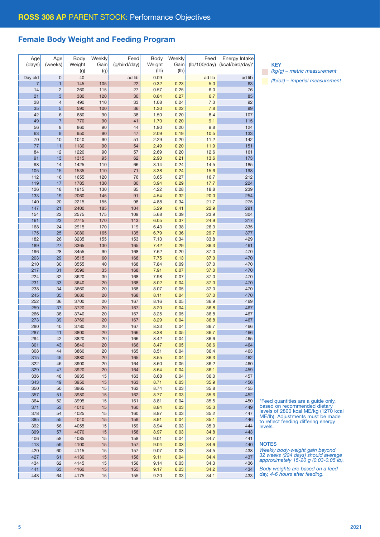# Female Body Weight and Feeding Program

| Age            | Age            | Body   | Weekly | Feed         | Body   | Weekly | Feed         | Energy Intake    |
|----------------|----------------|--------|--------|--------------|--------|--------|--------------|------------------|
| (days)         | (weeks)        | Weight | Gain   | (g/bird/day) | Weight | Gain   | (lb/100/day) | (kcal/bird/day)* |
|                |                | (g)    | (g)    |              | (Ib)   | (lb)   |              |                  |
| Day old        | $\mathbf 0$    | 40     |        | ad lib       | 0.09   |        | ad lib       | ad lib           |
| $\overline{7}$ | 1              | 145    | 105    | 22           | 0.32   | 0.23   | 5.0          | 63               |
| 14             | $\overline{c}$ | 260    | 115    | 27           | 0.57   | 0.25   | 6.0          | 76               |
| 21             | 3              | 380    | 120    | 30           | 0.84   | 0.27   | 6.7          | 85               |
| 28             | 4              | 490    | 110    | 33           | 1.08   | 0.24   | 7.3          | 92               |
| 35             | 5              | 590    | 100    | 36           | 1.30   | 0.22   | 7.8          | 99               |
|                |                |        |        |              |        |        |              |                  |
| 42             | 6              | 680    | 90     | 38           | 1.50   | 0.20   | 8.4          | 107              |
| 49             | $\overline{7}$ | 770    | 90     | 41           | 1.70   | 0.20   | 9.1          | 115              |
| 56             | 8              | 860    | 90     | 44           | 1.90   | 0.20   | 9.8          | 124              |
| 63             | 9              | 950    | 90     | 47           | 2.09   | 0.19   | 10.5         | 133              |
| 70             | 10             | 1040   | 90     | 51           | 2.29   | 0.20   | 11.2         | 142              |
| 77             | 11             | 1130   | 90     | 54           | 2.49   | 0.20   | 11.9         | 151              |
| 84             | 12             | 1220   | 90     | 57           | 2.69   | 0.20   | 12.6         | 161              |
| 91             | 13             | 1315   | 95     | 62           | 2.90   | 0.21   | 13.6         | 173              |
| 98             | 14             | 1425   | 110    | 66           | 3.14   | 0.24   | 14.5         | 185              |
| 105            | 15             | 1535   | 110    | 71           | 3.38   | 0.24   | 15.6         | 198              |
| 112            | 16             | 1655   | 120    | 76           | 3.65   | 0.27   | 16.7         | 212              |
| 119            | 17             | 1785   | 130    | 80           | 3.94   | 0.29   | 17.7         | 224              |
| 126            | 18             | 1915   | 130    | 85           | 4.22   | 0.28   | 18.8         | 239              |
| 133            | 19             | 2060   | 145    | 91           | 4.54   | 0.32   | 20.0         | 254              |
| 140            | 20             | 2215   | 155    | 98           | 4.88   | 0.34   | 21.7         | 275              |
| 147            | 21             | 2400   | 185    | 104          | 5.29   | 0.41   | 22.9         | 291              |
| 154            | 22             | 2575   | 175    | 109          | 5.68   | 0.39   | 23.9         | 304              |
| 161            | 23             | 2745   | 170    | 113          | 6.05   | 0.37   | 24.9         | 317              |
| 168            | 24             | 2915   | 170    | 119          | 6.43   | 0.38   | 26.3         | 335              |
| 175            |                | 3080   |        |              | 6.79   | 0.36   | 29.7         | 377              |
|                | 25             |        | 165    | 135          |        |        |              |                  |
| 182            | 26             | 3235   | 155    | 153          | 7.13   | 0.34   | 33.8         | 429              |
| 189            | 27             | 3365   | 130    | 165          | 7.42   | 0.29   | 36.3         | 461              |
| 196            | 28             | 3455   | 90     | 168          | 7.62   | 0.20   | 37.0         | 470              |
| 203            | 29             | 3515   | 60     | 168          | 7.75   | 0.13   | 37.0         | 470              |
| 210            | 30             | 3555   | 40     | 168          | 7.84   | 0.09   | 37.0         | 470              |
| 217            | 31             | 3590   | 35     | 168          | 7.91   | 0.07   | 37.0         | 470              |
| 224            | 32             | 3620   | 30     | 168          | 7.98   | 0.07   | 37.0         | 470              |
| 231            | 33             | 3640   | 20     | 168          | 8.02   | 0.04   | 37.0         | 470              |
| 238            | 34             | 3660   | 20     | 168          | 8.07   | 0.05   | 37.0         | 470              |
| 245            | 35             | 3680   | 20     | 168          | 8.11   | 0.04   | 37.0         | 470              |
| 252            | 36             | 3700   | 20     | 167          | 8.16   | 0.05   | 36.9         | 469              |
| 259            | 37             | 3720   | 20     | 167          | 8.20   | 0.04   | 36.8         | 467              |
| 266            | 38             | 3740   | 20     | 167          | 8.25   | 0.05   | 36.8         | 467              |
| 273            | 39             | 3760   | 20     | 167          | 8.29   | 0.04   | 36.8         | 467              |
| 280            | 40             | 3780   | 20     | 167          | 8.33   | 0.04   | 36.7         | 466              |
| 287            | 41             | 3800   | 20     | 166          | 8.38   | 0.05   | 36.7         | 466              |
| 294            | 42             | 3820   | 20     | 166          | 8.42   | 0.04   | 36.6         | 465              |
| 301            | 43             | 3840   | 20     | 166          | 8.47   | 0.05   | 36.6         | 464              |
| 308            | 44             | 3860   | 20     | 165          | 8.51   | 0.04   | 36.4         | 463              |
| 315            | 45             | 3880   | 20     | 165          | 8.55   | 0.04   | 36.3         | 462              |
| 322            | 46             | 3900   | 20     | 164          | 8.60   | 0.05   | 36.2         | 460              |
| 329            | 47             | 3920   | 20     | 164          | 8.64   | 0.04   | 36.1         | 459              |
| 336            | 48             | 3935   | 15     | 163          | 8.68   | 0.04   | 36.0         | 457              |
| 343            | 49             | 3950   | 15     | 163          | 8.71   | 0.03   | 35.9         | 456              |
|                |                | 3965   |        |              |        |        |              | 455              |
| 350            | 50             |        | 15     | 162          | 8.74   | 0.03   | 35.8         |                  |
| 357            | 51             | 3980   | 15     | 162          | 8.77   | 0.03   | 35.6         | 452              |
| 364            | 52             | 3995   | 15     | 161          | 8.81   | 0.04   | 35.5         | 450              |
| 371            | 53             | 4010   | $15\,$ | 160          | 8.84   | 0.03   | 35.3         | 449              |
| 378            | 54             | 4025   | 15     | 160          | 8.87   | 0.03   | 35.2         | 447              |
| 385            | 55             | 4040   | 15     | 159          | 8.91   | 0.04   | 35.1         | 446              |
| 392            | 56             | 4055   | 15     | 159          | 8.94   | 0.03   | 35.0         | 444              |
| 399            | 57             | 4070   | 15     | 158          | 8.97   | 0.03   | 34.8         | 443              |
| 406            | 58             | 4085   | 15     | 158          | 9.01   | 0.04   | 34.7         | 441              |
| 413            | 59             | 4100   | 15     | 157          | 9.04   | 0.03   | 34.6         | 440              |
| 420            | 60             | 4115   | 15     | 157          | 9.07   | 0.03   | 34.5         | 438              |
| 427            | 61             | 4130   | $15\,$ | 156          | 9.11   | 0.04   | 34.4         | 437              |
| 434            | 62             | 4145   | 15     | 156          | 9.14   | 0.03   | 34.3         | 436              |
| 441            | 63             | 4160   | $15\,$ | 155          | 9.17   | 0.03   | 34.2         | 434              |
| 448            | 64             | 4175   | 15     | 155          | 9.20   | 0.03   | 34.1         | 433              |

**KEY** 

*(kg/g) – metric measurement (lb/oz) – imperial measurement*

\*Feed quantities are a guide only, based on recommended dietary levels of 2800 kcal ME/kg (1270 kcal ME/lb). Adjustments must be made to reflect feeding differing energy levels.

**NOTES** 

*Weekly body-weight gain beyond 32 weeks (224 days) should average approximately 15-20 g (0.03-0.05 lb).*

*Body weights are based on a feed day, 4-6 hours after feeding.*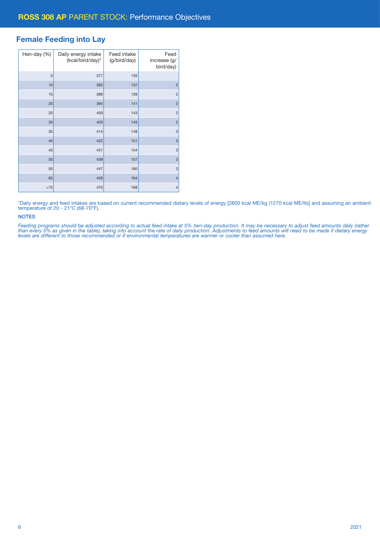# Female Feeding into Lay

| Hen-day (%) | Daily energy intake<br>(kcal/bird/day)* | Feed intake<br>(g/bird/day) | Feed<br>increase (g/<br>bird/day) |
|-------------|-----------------------------------------|-----------------------------|-----------------------------------|
| 5           | 377                                     | 135                         |                                   |
| 10          | 383                                     | 137                         | $\overline{2}$                    |
| 15          | 389                                     | 139                         | $\overline{c}$                    |
| 20          | 394                                     | 141                         | $\overline{2}$                    |
| 25          | 400                                     | 143                         | $\overline{c}$                    |
| 30          | 405                                     | 145                         | $\overline{2}$                    |
| 35          | 414                                     | 148                         | 3                                 |
| 40          | 422                                     | 151                         | 3                                 |
| 45          | 431                                     | 154                         | 3                                 |
| 50          | 439                                     | 157                         | 3                                 |
| 55          | 447                                     | 160                         | 3                                 |
| 65          | 459                                     | 164                         | $\overline{4}$                    |
| >75         | 470                                     | 168                         | $\overline{4}$                    |

\*Daily energy and feed intakes are based on current recommended dietary levels of energy [2800 kcal ME/kg (1270 kcal ME/lb)] and assuming an ambient temperature of 20 - 21°C (68-70°F).

### **NOTES**

*Feeding programs should be adjusted according to actual feed intake at 5% hen-day production. It may be necessary to adjust feed amounts daily (rather than every 5% as given in the table), taking into account the rate of daily production. Adjustments to feed amounts will need to be made if dietary energy levels are different to those recommended or if environmental temperatures are warmer or cooler than assumed here.*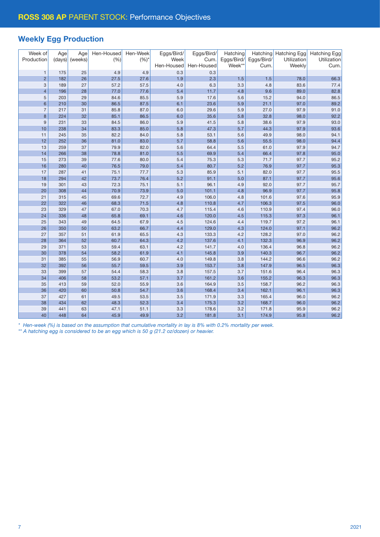# Weekly Egg Production

| Week of<br>Production    | Age<br>(days) | Age<br>(weeks) | Hen-Housed<br>(%) | Hen-Week<br>$(%)^*$ | Eggs/Bird/<br>Week | Eggs/Bird/<br>Cum. | Hatching<br>Eggs/Bird/ | Eggs/Bird/     | Hatching Hatching Egg<br>Utilization | <b>Hatching Egg</b><br>Utilization |
|--------------------------|---------------|----------------|-------------------|---------------------|--------------------|--------------------|------------------------|----------------|--------------------------------------|------------------------------------|
|                          |               |                |                   |                     | Hen-Housed         | Hen-Housed         | Week**                 | Cum.           | Weekly                               | Cum.                               |
| $\mathbf{1}$             | 175           | 25             | 4.9               | 4.9                 | 0.3                | 0.3                |                        |                |                                      |                                    |
| $\overline{c}$           | 182           | 26             | 27.5              | 27.6                | 1.9                | 2.3                | 1.5                    | 1.5            | 78.0                                 | 66.3                               |
| 3                        | 189           | 27             | 57.2              | 57.5                | 4.0                | 6.3                | 3.3                    | 4.8            | 83.6                                 | 77.4                               |
| $\overline{\mathcal{L}}$ | 196           | 28             | 77.0              | 77.6                | 5.4                | 11.7               | 4.8                    | 9.6            | 89.0                                 | 82.8                               |
| 5                        | 203           | 29             | 84.6              | 85.5                | 5.9                | 17.6               | 5.6                    | 15.2           | 94.0                                 | 86.5                               |
| 6                        | 210           | 30             | 86.5              | 87.5                | 6.1                | 23.6               | 5.9                    | 21.1           | 97.0                                 | 89.2                               |
| $\overline{7}$           | 217           | 31             | 85.8              | 87.0                | 6.0                | 29.6               | 5.9                    | 27.0           | 97.9                                 | 91.0                               |
| 8                        | 224           | 32             | 85.1              | 86.5                | 6.0                | 35.6               | 5.8                    | 32.8           | 98.0                                 | 92.2                               |
| $9$                      | 231           | 33             | 84.5              | 86.0                | 5.9                | 41.5               | 5.8                    | 38.6           | 97.9                                 | 93.0                               |
| 10                       | 238           | 34             | 83.3              | 85.0                | 5.8                | 47.3               | 5.7                    | 44.3           | 97.9                                 | 93.6                               |
| 11                       | 245           | 35             | 82.2              | 84.0                | 5.8                | 53.1               | 5.6                    | 49.9           | 98.0                                 | 94.1                               |
| 12                       | 252           | 36             | 81.0              | 83.0                | 5.7                | 58.8               | 5.6                    | 55.5           | 98.0                                 | 94.4                               |
| 13                       | 259           | 37             | 79.9              | 82.0                | 5.6                | 64.4               | 5.5                    | 61.0           | 97.9                                 | 94.7                               |
| 14                       | 266           | 38             | 78.8              | 81.0                | 5.5                | 69.9               | 5.4                    | 66.4           | 97.8                                 | 95.0                               |
| 15                       | 273           | 39             | 77.6              | 80.0                | 5.4                | 75.3               | 5.3                    | 71.7           | 97.7                                 | 95.2                               |
| 16                       | 280           | 40             | 76.5              | 79.0                | 5.4                | 80.7               | 5.2                    | 76.9           | 97.7                                 | 95.3                               |
| 17                       | 287           | 41             | 75.1              | 77.7                | 5.3                | 85.9               | 5.1                    | 82.0           | 97.7                                 | 95.5                               |
| 18                       | 294           | 42             | 73.7              | 76.4                | 5.2                | 91.1               | 5.0                    | 87.1           | 97.7                                 | 95.6                               |
| 19                       | 301           | 43             | 72.3              | 75.1                | 5.1                | 96.1               | 4.9                    | 92.0           | 97.7                                 | 95.7                               |
| 20                       | 308           | 44             | 70.9              | 73.9                | 5.0                | 101.1              | 4.8                    | 96.9           | 97.7                                 | 95.8                               |
| 21                       | 315           | 45             | 69.6              | 72.7                | 4.9                | 106.0              | 4.8                    | 101.6          | 97.6                                 | 95.9                               |
| 22                       | 322           | 46             | 68.3              | 71.5                | 4.8                | 110.8              | 4.7                    | 106.3          | 97.5                                 | 96.0                               |
| 23                       | 329           | 47             | 67.0              | 70.3                | 4.7                | 115.4              | 4.6                    | 110.9          | 97.4                                 | 96.0                               |
| 24                       | 336           | 48             | 65.8              | 69.1                | 4.6                | 120.0              | 4.5                    | 115.3          | 97.3                                 | 96.1                               |
| 25<br>26                 | 343           | 49<br>50       | 64.5<br>63.2      | 67.9<br>66.7        | 4.5<br>4.4         | 124.6<br>129.0     | 4.4                    | 119.7<br>124.0 | 97.2<br>97.1                         | 96.1<br>96.2                       |
|                          | 350           |                |                   |                     |                    |                    | 4.3                    |                |                                      |                                    |
| 27<br>28                 | 357<br>364    | 51<br>52       | 61.9<br>60.7      | 65.5<br>64.3        | 4.3<br>4.2         | 133.3<br>137.6     | 4.2<br>4.1             | 128.2<br>132.3 | 97.0<br>96.9                         | 96.2<br>96.2                       |
| 29                       | 371           | 53             | 59.4              | 63.1                | 4.2                | 141.7              | 4.0                    | 136.4          | 96.8                                 | 96.2                               |
| 30                       | 378           | 54             | 58.2              | 61.9                | 4.1                | 145.8              | 3.9                    | 140.3          | 96.7                                 | 96.2                               |
| 31                       | 385           | 55             | 56.9              | 60.7                | 4.0                | 149.8              | 3.8                    | 144.2          | 96.6                                 | 96.2                               |
| 32                       | 392           | 56             | 55.7              | 59.5                | 3.9                | 153.7              | 3.8                    | 147.9          | 96.5                                 | 96.3                               |
| 33                       | 399           | 57             | 54.4              | 58.3                | 3.8                | 157.5              | 3.7                    | 151.6          | 96.4                                 | 96.3                               |
| 34                       | 406           | 58             | 53.2              | 57.1                | 3.7                | 161.2              | 3.6                    | 155.2          | 96.3                                 | 96.3                               |
| 35                       | 413           | 59             | 52.0              | 55.9                | 3.6                | 164.9              | 3.5                    | 158.7          | 96.2                                 | 96.3                               |
| 36                       | 420           | 60             | 50.8              | 54.7                | 3.6                | 168.4              | 3.4                    | 162.1          | 96.1                                 | 96.3                               |
| 37                       | 427           | 61             | 49.5              | 53.5                | 3.5                | 171.9              | 3.3                    | 165.4          | 96.0                                 | 96.2                               |
| 38                       | 434           | 62             | 48.3              | 52.3                | 3.4                | 175.3              | 3.2                    | 168.7          | 96.0                                 | 96.2                               |
| 39                       | 441           | 63             | 47.1              | 51.1                | 3.3                | 178.6              | 3.2                    | 171.8          | 95.9                                 | 96.2                               |
| 40                       | 448           | 64             | 45.9              | 49.9                | 3.2                | 181.8              | 3.1                    | 174.9          | 95.8                                 | 96.2                               |

*\* Hen-week (%) is based on the assumption that cumulative mortality in lay is 8% with 0.2% mortality per week.*

*\*\* A hatching egg is considered to be an egg which is 50 g (21.2 oz/dozen) or heavier.*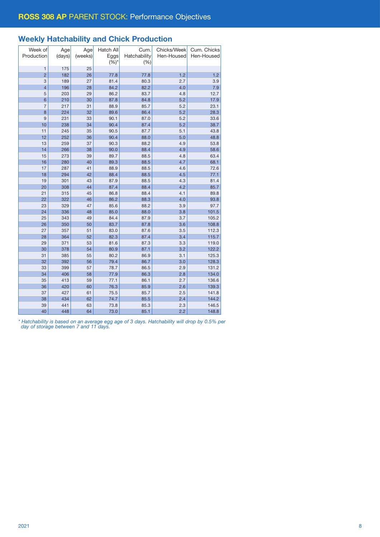# Weekly Hatchability and Chick Production

| Week of<br>Production | Age<br>(days) | Age<br>(weeks) | Hatch All<br>Eggs<br>$(%)^*$ | Cum.<br>Hatchability<br>(%) | Chicks/Week<br>Hen-Housed | Cum. Chicks<br>Hen-Housed |
|-----------------------|---------------|----------------|------------------------------|-----------------------------|---------------------------|---------------------------|
| $\mathbf{1}$          | 175           | 25             |                              |                             |                           |                           |
| $\overline{2}$        | 182           | 26             | 77.8                         | 77.8                        | 1.2                       | 1.2                       |
| 3                     | 189           | 27             | 81.4                         | 80.3                        | 2.7                       | 3.9                       |
| $\overline{4}$        | 196           | 28             | 84.2                         | 82.2                        | 4.0                       | 7.9                       |
| 5                     | 203           | 29             | 86.2                         | 83.7                        | 4.8                       | 12.7                      |
| $6\phantom{1}6$       | 210           | 30             | 87.8                         | 84.8                        | 5.2                       | 17.9                      |
| $\overline{7}$        | 217           | 31             | 88.9                         | 85.7                        | 5.2                       | 23.1                      |
| 8                     | 224           | 32             | 89.6                         | 86.4                        | 5.2                       | 28.3                      |
| 9                     | 231           | 33             | 90.1                         | 87.0                        | 5.2                       | 33.6                      |
| 10                    | 238           | 34             | 90.4                         | 87.4                        | 5.2                       | 38.7                      |
| 11                    | 245           | 35             | 90.5                         | 87.7                        | 5.1                       | 43.8                      |
| 12                    | 252           | 36             | 90.4                         | 88.0                        | 5.0                       | 48.8                      |
| 13                    | 259           | 37             | 90.3                         | 88.2                        | 4.9                       | 53.8                      |
| 14                    | 266           | 38             | 90.0                         | 88.4                        | 4.9                       | 58.6                      |
| 15                    | 273           | 39             | 89.7                         | 88.5                        | 4.8                       | 63.4                      |
| 16                    | 280           | 40             | 89.3                         | 88.5                        | 4.7                       | 68.1                      |
| 17                    | 287           | 41             | 88.9                         | 88.5                        | 4.6                       | 72.6                      |
| 18                    | 294           | 42             | 88.4                         | 88.5                        | 4.5                       | 77.1                      |
| 19                    | 301           | 43             | 87.9                         | 88.5                        | 4.3                       | 81.4                      |
| 20                    | 308           | 44             | 87.4                         | 88.4                        | 4.2                       | 85.7                      |
| 21                    | 315           | 45             | 86.8                         | 88.4                        | 4.1                       | 89.8                      |
| 22                    | 322           | 46             | 86.2                         | 88.3                        | 4.0                       | 93.8                      |
| 23                    | 329           | 47             | 85.6                         | 88.2                        | 3.9                       | 97.7                      |
| 24                    | 336           | 48             | 85.0                         | 88.0                        | 3.8                       | 101.5                     |
| 25                    | 343           | 49             | 84.4                         | 87.9                        | 3.7                       | 105.2                     |
| 26                    | 350           | 50             | 83.7                         | 87.8                        | 3.6                       | 108.8                     |
| 27                    | 357           | 51             | 83.0                         | 87.6                        | 3.5                       | 112.3                     |
| 28                    | 364           | 52             | 82.3                         | 87.4                        | 3.4                       | 115.7                     |
| 29                    | 371           | 53             | 81.6                         | 87.3                        | 3.3                       | 119.0                     |
| 30                    | 378           | 54             | 80.9                         | 87.1                        | 3.2                       | 122.2                     |
| 31                    | 385           | 55             | 80.2                         | 86.9                        | 3.1                       | 125.3                     |
| 32                    | 392           | 56             | 79.4                         | 86.7                        | 3.0                       | 128.3                     |
| 33                    | 399           | 57             | 78.7                         | 86.5                        | 2.9                       | 131.2                     |
| 34                    | 406           | 58             | 77.9                         | 86.3                        | 2.8                       | 134.0                     |
| 35                    | 413           | 59             | 77.1                         | 86.1                        | 2.7                       | 136.6                     |
| 36                    | 420           | 60             | 76.3                         | 85.9                        | 2.6                       | 139.3                     |
| 37                    | 427           | 61             | 75.5                         | 85.7                        | 2.5                       | 141.8                     |
| 38<br>39              | 434<br>441    | 62             | 74.7                         | 85.5                        | 2.4                       | 144.2<br>146.5            |
|                       |               | 63             | 73.8                         | 85.3                        | 2.3                       |                           |
| 40                    | 448           | 64             | 73.0                         | 85.1                        | 2.2                       | 148.8                     |

*\* Hatchability is based on an average egg age of 3 days. Hatchability will drop by 0.5% per day of storage between 7 and 11 days.*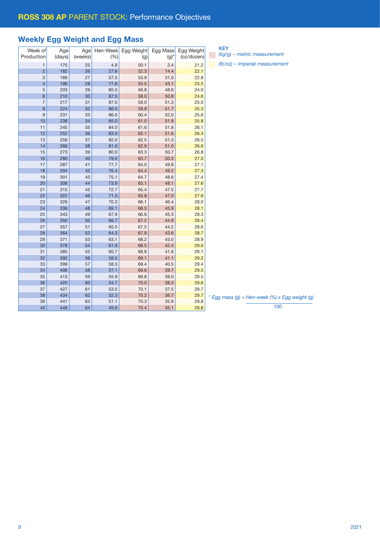# Weekly Egg Weight and Egg Mass

|                |        |         |          |            |          |            | <b>KEY</b>     |
|----------------|--------|---------|----------|------------|----------|------------|----------------|
| Week of        | Age    | Age     | Hen-Week | Egg Weight | Egg Mass | Egg Weight | $(kg/g) - m$   |
| Production     | (days) | (weeks) | (% )     | (g)        | $(g)^*$  | (oz/dozen) |                |
| $\mathbf{1}$   | 175    | 25      | 4.9      | 50.1       | 2.4      | 21.2       | $(lb/oz) - in$ |
| $\overline{c}$ | 182    | 26      | 27.6     | 52.3       | 14.4     | 22.1       |                |
| 3              | 189    | 27      | 57.5     | 53.9       | 31.0     | 22.8       |                |
| $\overline{4}$ | 196    | 28      | 77.6     | 55.5       | 43.1     | 23.5       |                |
| 5              | 203    | 29      | 85.5     | 56.8       | 48.6     | 24.0       |                |
| 6              | 210    | 30      | 87.5     | 58.0       | 50.8     | 24.6       |                |
| $\overline{7}$ | 217    | 31      | 87.0     | 59.0       | 51.3     | 25.0       |                |
| 8              | 224    | 32      | 86.5     | 59.8       | 51.7     | 25.3       |                |
| $\overline{9}$ | 231    | 33      | 86.0     | 60.4       | 52.0     | 25.6       |                |
| 10             | 238    | 34      | 85.0     | 61.0       | 51.9     | 25.8       |                |
| 11             | 245    | 35      | 84.0     | 61.6       | 51.8     | 26.1       |                |
| 12             | 252    | 36      | 83.0     | 62.1       | 51.6     | 26.3       |                |
| 13             | 259    | 37      | 82.0     | 62.5       | 51.3     | 26.5       |                |
| 14             | 266    | 38      | 81.0     | 62.9       | 51.0     | 26.6       |                |
| 15             | 273    | 39      | 80.0     | 63.3       | 50.7     | 26.8       |                |
| 16             | 280    | 40      | 79.0     | 63.7       | 50.3     | 27.0       |                |
| 17             | 287    | 41      | 77.7     | 64.0       | 49.8     | 27.1       |                |
| 18             | 294    | 42      | 76.4     | 64.4       | 49.2     | 27.3       |                |
| 19             | 301    | 43      | 75.1     | 64.7       | 48.6     | 27.4       |                |
| 20             | 308    | 44      | 73.9     | 65.1       | 48.1     | 27.6       |                |
| 21             | 315    | 45      | 72.7     | 65.4       | 47.5     | 27.7       |                |
| 22             | 322    | 46      | 71.5     | 65.8       | 47.0     | 27.9       |                |
| 23             | 329    | 47      | 70.3     | 66.1       | 46.4     | 28.0       |                |
| 24             | 336    | 48      | 69.1     | 66.5       | 45.9     | 28.1       |                |
| 25             | 343    | 49      | 67.9     | 66.8       | 45.3     | 28.3       |                |
| 26             | 350    | 50      | 66.7     | 67.2       | 44.8     | 28.4       |                |
| 27             | 357    | 51      | 65.5     | 67.5       | 44.2     | 28.6       |                |
| 28             | 364    | 52      | 64.3     | 67.9       | 43.6     | 28.7       |                |
| 29             | 371    | 53      | 63.1     | 68.2       | 43.0     | 28.9       |                |
| 30             | 378    | 54      | 61.9     | 68.5       | 42.4     | 29.0       |                |
| 31             | 385    | 55      | 60.7     | 68.8       | 41.8     | 29.1       |                |
| 32             | 392    | 56      | 59.5     | 69.1       | 41.1     | 29.2       |                |
| 33             | 399    | 57      | 58.3     | 69.4       | 40.5     | 29.4       |                |
| 34             | 406    | 58      | 57.1     | 69.6       | 39.7     | 29.5       |                |
| 35             | 413    | 59      | 55.9     | 69.8       | 39.0     | 29.5       |                |
| 36             | 420    | 60      | 54.7     | 70.0       | 38.3     | 29.6       |                |
| 37             | 427    | 61      | 53.5     | 70.1       | 37.5     | 29.7       |                |
| 38             | 434    | 62      | 52.3     | 70.2       | 36.7     | 29.7       |                |
| 39             | 441    | 63      | 51.1     | 70.3       | 35.9     | 29.8       | * Egg mass (g) |
| 40             | 448    | 64      | 49.9     | 70.4       | 35.1     | 29.8       |                |
|                |        |         |          |            |          |            |                |

| KEY                           |
|-------------------------------|
| $(kq/q)$ – metric measurement |

*(lb/oz) – imperial measurement*

*\* Egg mass (g) = Hen-week (%) x Egg weight (g)*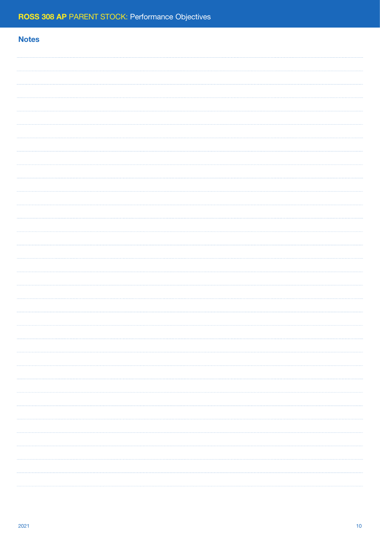# **Notes**  $\cdots$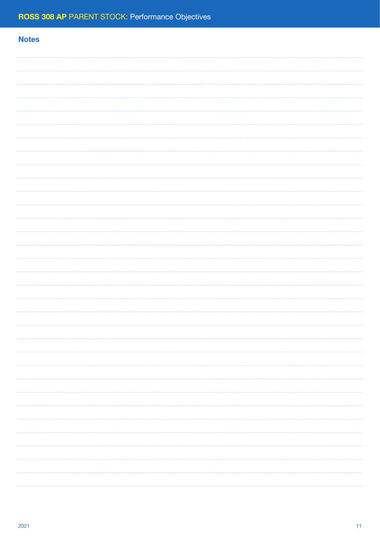# **Notes**  $\cdots$